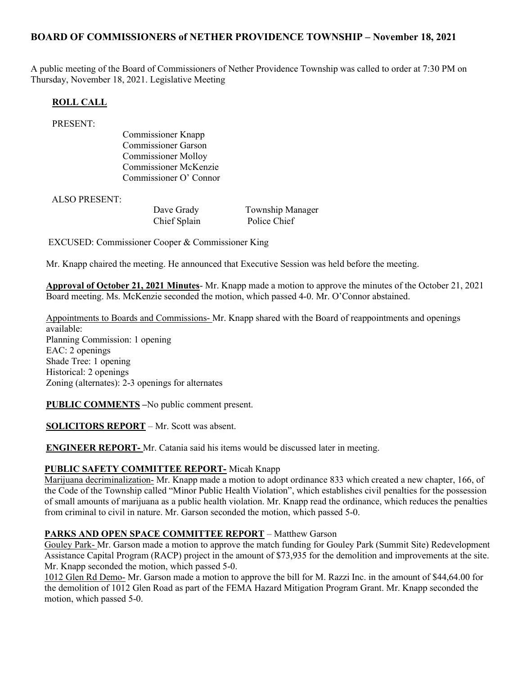# BOARD OF COMMISSIONERS of NETHER PROVIDENCE TOWNSHIP – November 18, 2021

A public meeting of the Board of Commissioners of Nether Providence Township was called to order at 7:30 PM on Thursday, November 18, 2021. Legislative Meeting

## ROLL CALL

PRESENT:

Commissioner Knapp Commissioner Garson Commissioner Molloy Commissioner McKenzie Commissioner O' Connor

ALSO PRESENT:

Chief Splain Police Chief

Dave Grady Township Manager

EXCUSED: Commissioner Cooper & Commissioner King

Mr. Knapp chaired the meeting. He announced that Executive Session was held before the meeting.

Approval of October 21, 2021 Minutes- Mr. Knapp made a motion to approve the minutes of the October 21, 2021 Board meeting. Ms. McKenzie seconded the motion, which passed 4-0. Mr. O'Connor abstained.

Appointments to Boards and Commissions- Mr. Knapp shared with the Board of reappointments and openings available: Planning Commission: 1 opening EAC: 2 openings Shade Tree: 1 opening Historical: 2 openings Zoning (alternates): 2-3 openings for alternates

PUBLIC COMMENTS –No public comment present.

SOLICITORS REPORT – Mr. Scott was absent.

ENGINEER REPORT- Mr. Catania said his items would be discussed later in meeting.

#### PUBLIC SAFETY COMMITTEE REPORT- Micah Knapp

Marijuana decriminalization- Mr. Knapp made a motion to adopt ordinance 833 which created a new chapter, 166, of the Code of the Township called "Minor Public Health Violation", which establishes civil penalties for the possession of small amounts of marijuana as a public health violation. Mr. Knapp read the ordinance, which reduces the penalties from criminal to civil in nature. Mr. Garson seconded the motion, which passed 5-0.

#### PARKS AND OPEN SPACE COMMITTEE REPORT – Matthew Garson

Gouley Park- Mr. Garson made a motion to approve the match funding for Gouley Park (Summit Site) Redevelopment Assistance Capital Program (RACP) project in the amount of \$73,935 for the demolition and improvements at the site. Mr. Knapp seconded the motion, which passed 5-0.

1012 Glen Rd Demo- Mr. Garson made a motion to approve the bill for M. Razzi Inc. in the amount of \$44,64.00 for the demolition of 1012 Glen Road as part of the FEMA Hazard Mitigation Program Grant. Mr. Knapp seconded the motion, which passed 5-0.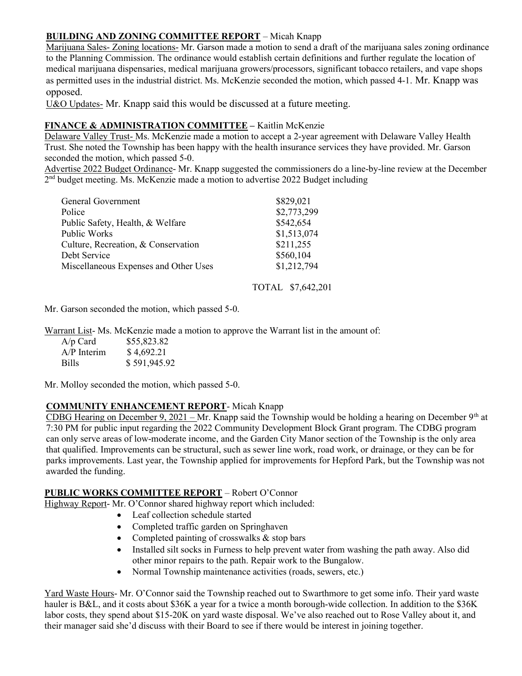## BUILDING AND ZONING COMMITTEE REPORT – Micah Knapp

Marijuana Sales- Zoning locations- Mr. Garson made a motion to send a draft of the marijuana sales zoning ordinance to the Planning Commission. The ordinance would establish certain definitions and further regulate the location of medical marijuana dispensaries, medical marijuana growers/processors, significant tobacco retailers, and vape shops as permitted uses in the industrial district. Ms. McKenzie seconded the motion, which passed 4-1. Mr. Knapp was opposed.

U&O Updates- Mr. Knapp said this would be discussed at a future meeting.

# FINANCE & ADMINISTRATION COMMITTEE - Kaitlin McKenzie

Delaware Valley Trust- Ms. McKenzie made a motion to accept a 2-year agreement with Delaware Valley Health Trust. She noted the Township has been happy with the health insurance services they have provided. Mr. Garson seconded the motion, which passed 5-0.

Advertise 2022 Budget Ordinance- Mr. Knapp suggested the commissioners do a line-by-line review at the December 2<sup>nd</sup> budget meeting. Ms. McKenzie made a motion to advertise 2022 Budget including

| General Government                    | \$829,021   |
|---------------------------------------|-------------|
| Police                                | \$2,773,299 |
| Public Safety, Health, & Welfare      | \$542,654   |
| Public Works                          | \$1,513,074 |
| Culture, Recreation, & Conservation   | \$211,255   |
| Debt Service                          | \$560,104   |
| Miscellaneous Expenses and Other Uses | \$1,212,794 |

## TOTAL \$7,642,201

Mr. Garson seconded the motion, which passed 5-0.

Warrant List- Ms. McKenzie made a motion to approve the Warrant list in the amount of:

| $A/p$ Card    | \$55,823.82  |
|---------------|--------------|
| $A/P$ Interim | \$4,692.21   |
| <b>Bills</b>  | \$591,945.92 |

Mr. Molloy seconded the motion, which passed 5-0.

## COMMUNITY ENHANCEMENT REPORT- Micah Knapp

CDBG Hearing on December 9, 2021 – Mr. Knapp said the Township would be holding a hearing on December  $9<sup>th</sup>$  at 7:30 PM for public input regarding the 2022 Community Development Block Grant program. The CDBG program can only serve areas of low-moderate income, and the Garden City Manor section of the Township is the only area that qualified. Improvements can be structural, such as sewer line work, road work, or drainage, or they can be for parks improvements. Last year, the Township applied for improvements for Hepford Park, but the Township was not awarded the funding.

## PUBLIC WORKS COMMITTEE REPORT – Robert O'Connor

Highway Report- Mr. O'Connor shared highway report which included:

- Leaf collection schedule started
- Completed traffic garden on Springhaven
- Completed painting of crosswalks  $&$  stop bars
- Installed silt socks in Furness to help prevent water from washing the path away. Also did other minor repairs to the path. Repair work to the Bungalow.
- Normal Township maintenance activities (roads, sewers, etc.)

Yard Waste Hours- Mr. O'Connor said the Township reached out to Swarthmore to get some info. Their yard waste hauler is B&L, and it costs about \$36K a year for a twice a month borough-wide collection. In addition to the \$36K labor costs, they spend about \$15-20K on yard waste disposal. We've also reached out to Rose Valley about it, and their manager said she'd discuss with their Board to see if there would be interest in joining together.